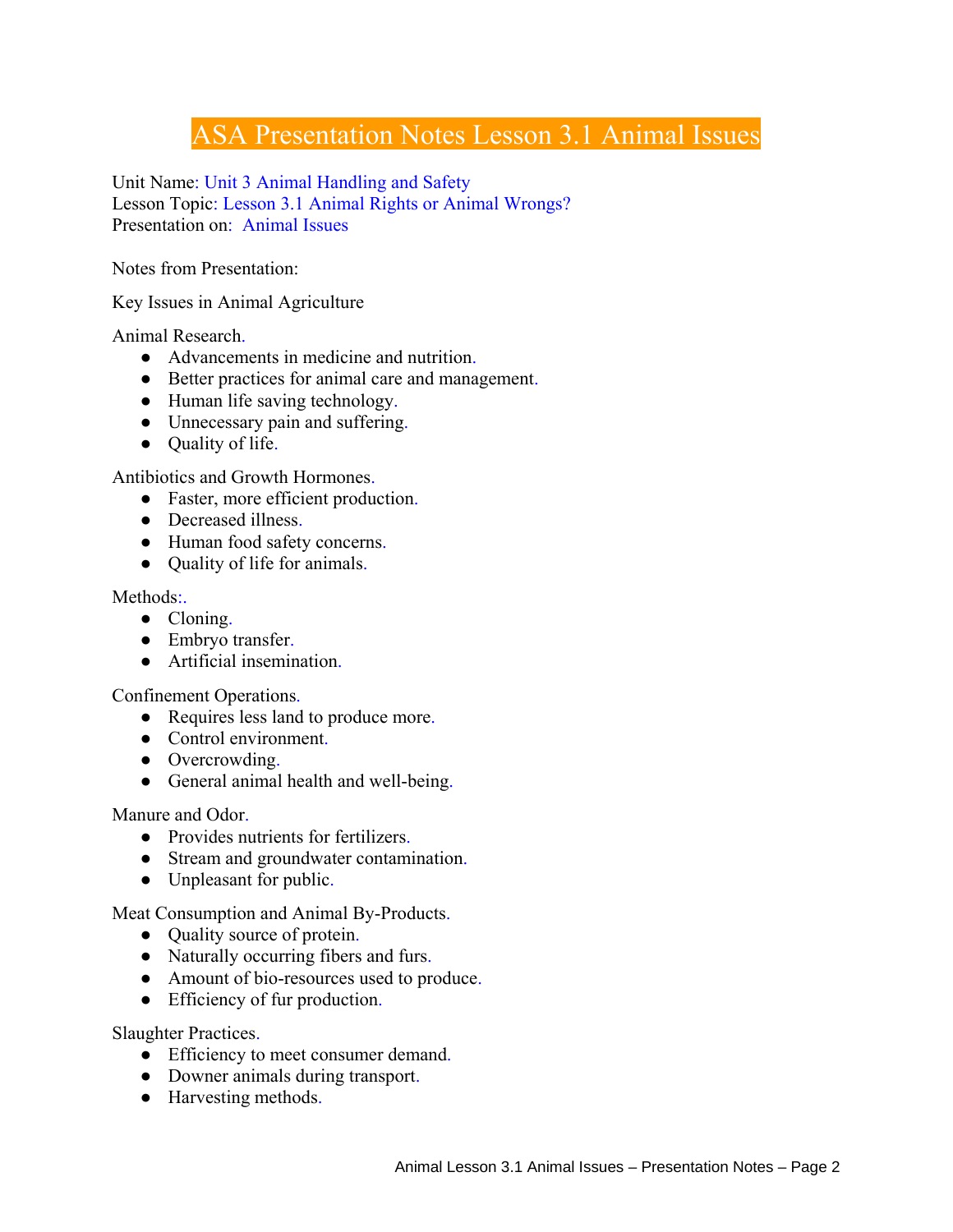## ASA Presentation Notes Lesson 3.1 Animal Issues

Unit Name: Unit 3 Animal Handling and Safety Lesson Topic: Lesson 3.1 Animal Rights or Animal Wrongs? Presentation on: Animal Issues

Notes from Presentation:

Key Issues in Animal Agriculture

Animal Research.

- Advancements in medicine and nutrition.
- Better practices for animal care and management.
- Human life saving technology.
- Unnecessary pain and suffering.
- Ouality of life.

Antibiotics and Growth Hormones.

- Faster, more efficient production.
- Decreased illness.
- Human food safety concerns.
- Quality of life for animals.

Methods:

- Cloning.
- Embryo transfer.
- Artificial insemination.

Confinement Operations.

- Requires less land to produce more.
- Control environment.
- Overcrowding.
- General animal health and well-being.

Manure and Odor.

- Provides nutrients for fertilizers.
- Stream and groundwater contamination.
- Unpleasant for public.

Meat Consumption and Animal By-Products.

- Quality source of protein.
- Naturally occurring fibers and furs.
- Amount of bio-resources used to produce.
- Efficiency of fur production.

Slaughter Practices.

- Efficiency to meet consumer demand.
- Downer animals during transport.
- Harvesting methods.